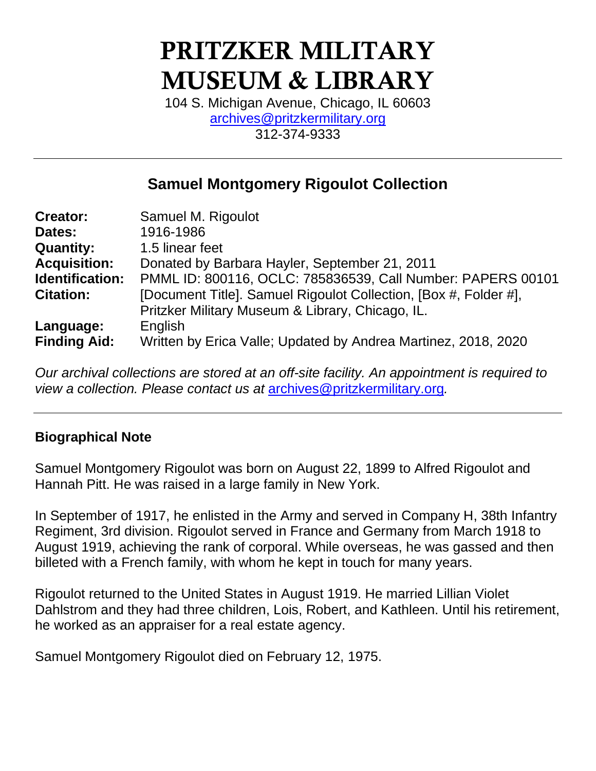# PRITZKER MILITARY MUSEUM & LIBRARY

104 S. Michigan Avenue, Chicago, IL 60603 [archives@pritzkermilitary.org](mailto:archives@pritzkermilitary.org) 312-374-9333

# **Samuel Montgomery Rigoulot Collection**

| <b>Creator:</b>     | Samuel M. Rigoulot                                               |
|---------------------|------------------------------------------------------------------|
| Dates:              | 1916-1986                                                        |
| <b>Quantity:</b>    | 1.5 linear feet                                                  |
| <b>Acquisition:</b> | Donated by Barbara Hayler, September 21, 2011                    |
| Identification:     | PMML ID: 800116, OCLC: 785836539, Call Number: PAPERS 00101      |
| <b>Citation:</b>    | [Document Title]. Samuel Rigoulot Collection, [Box #, Folder #], |
|                     | Pritzker Military Museum & Library, Chicago, IL.                 |
| Language:           | English                                                          |
| <b>Finding Aid:</b> | Written by Erica Valle; Updated by Andrea Martinez, 2018, 2020   |

*Our archival collections are stored at an off-site facility. An appointment is required to view a collection. Please contact us at* [archives@pritzkermilitary.org](mailto:archives@pritzkermilitary.org)*.*

# **Biographical Note**

Samuel Montgomery Rigoulot was born on August 22, 1899 to Alfred Rigoulot and Hannah Pitt. He was raised in a large family in New York.

In September of 1917, he enlisted in the Army and served in Company H, 38th Infantry Regiment, 3rd division. Rigoulot served in France and Germany from March 1918 to August 1919, achieving the rank of corporal. While overseas, he was gassed and then billeted with a French family, with whom he kept in touch for many years.

Rigoulot returned to the United States in August 1919. He married Lillian Violet Dahlstrom and they had three children, Lois, Robert, and Kathleen. Until his retirement, he worked as an appraiser for a real estate agency.

Samuel Montgomery Rigoulot died on February 12, 1975.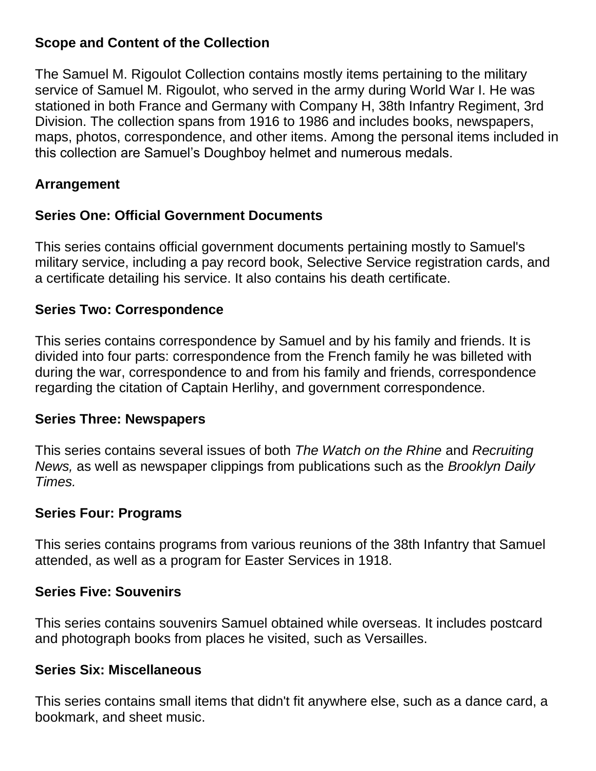# **Scope and Content of the Collection**

The Samuel M. Rigoulot Collection contains mostly items pertaining to the military service of Samuel M. Rigoulot, who served in the army during World War I. He was stationed in both France and Germany with Company H, 38th Infantry Regiment, 3rd Division. The collection spans from 1916 to 1986 and includes books, newspapers, maps, photos, correspondence, and other items. Among the personal items included in this collection are Samuel's Doughboy helmet and numerous medals.

# **Arrangement**

# **Series One: Official Government Documents**

This series contains official government documents pertaining mostly to Samuel's military service, including a pay record book, Selective Service registration cards, and a certificate detailing his service. It also contains his death certificate.

# **Series Two: Correspondence**

This series contains correspondence by Samuel and by his family and friends. It is divided into four parts: correspondence from the French family he was billeted with during the war, correspondence to and from his family and friends, correspondence regarding the citation of Captain Herlihy, and government correspondence.

# **Series Three: Newspapers**

This series contains several issues of both *The Watch on the Rhine* and *Recruiting News,* as well as newspaper clippings from publications such as the *Brooklyn Daily Times.* 

# **Series Four: Programs**

This series contains programs from various reunions of the 38th Infantry that Samuel attended, as well as a program for Easter Services in 1918.

# **Series Five: Souvenirs**

This series contains souvenirs Samuel obtained while overseas. It includes postcard and photograph books from places he visited, such as Versailles.

# **Series Six: Miscellaneous**

This series contains small items that didn't fit anywhere else, such as a dance card, a bookmark, and sheet music.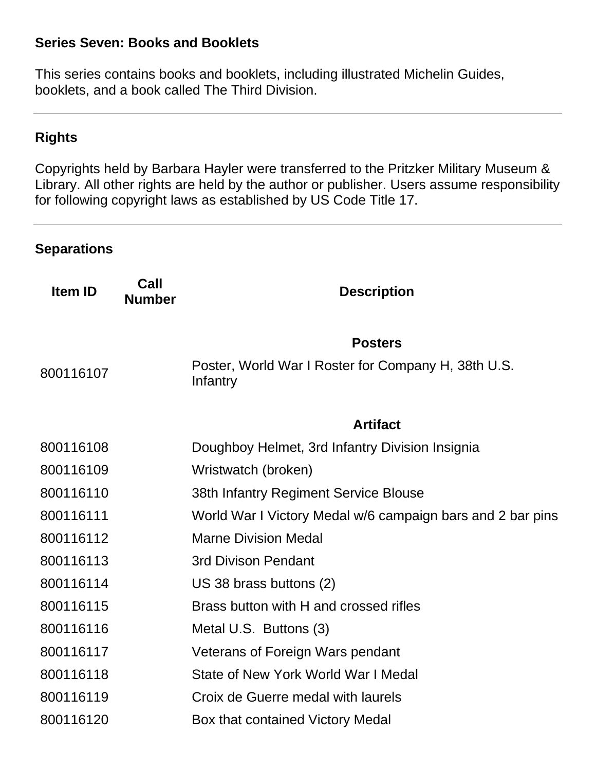#### **Series Seven: Books and Booklets**

This series contains books and booklets, including illustrated Michelin Guides, booklets, and a book called The Third Division.

# **Rights**

Copyrights held by Barbara Hayler were transferred to the Pritzker Military Museum & Library. All other rights are held by the author or publisher. Users assume responsibility for following copyright laws as established by US Code Title 17.

#### **Separations**

| Call<br><b>Number</b> | <b>Description</b>                                              |
|-----------------------|-----------------------------------------------------------------|
|                       | <b>Posters</b>                                                  |
|                       | Poster, World War I Roster for Company H, 38th U.S.<br>Infantry |
|                       | <b>Artifact</b>                                                 |
|                       | Doughboy Helmet, 3rd Infantry Division Insignia                 |
|                       | Wristwatch (broken)                                             |
|                       | 38th Infantry Regiment Service Blouse                           |
|                       | World War I Victory Medal w/6 campaign bars and 2 bar pins      |
|                       | <b>Marne Division Medal</b>                                     |
|                       | <b>3rd Divison Pendant</b>                                      |
|                       | US 38 brass buttons (2)                                         |
|                       | Brass button with H and crossed rifles                          |
|                       | Metal U.S. Buttons (3)                                          |
|                       | Veterans of Foreign Wars pendant                                |
|                       | State of New York World War I Medal                             |
|                       | Croix de Guerre medal with laurels                              |
|                       | Box that contained Victory Medal                                |
|                       |                                                                 |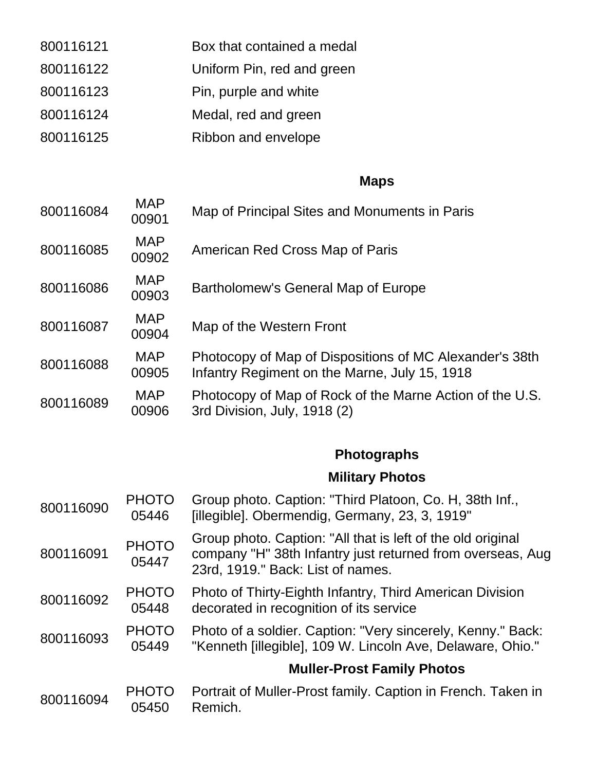| 800116121 | Box that contained a medal |
|-----------|----------------------------|
| 800116122 | Uniform Pin, red and green |
| 800116123 | Pin, purple and white      |
| 800116124 | Medal, red and green       |
| 800116125 | Ribbon and envelope        |

# **Maps**

| 800116084 | <b>MAP</b><br>00901   | Map of Principal Sites and Monuments in Paris                                                                                                                  |
|-----------|-----------------------|----------------------------------------------------------------------------------------------------------------------------------------------------------------|
| 800116085 | <b>MAP</b><br>00902   | American Red Cross Map of Paris                                                                                                                                |
| 800116086 | <b>MAP</b><br>00903   | Bartholomew's General Map of Europe                                                                                                                            |
| 800116087 | <b>MAP</b><br>00904   | Map of the Western Front                                                                                                                                       |
| 800116088 | <b>MAP</b><br>00905   | Photocopy of Map of Dispositions of MC Alexander's 38th<br>Infantry Regiment on the Marne, July 15, 1918                                                       |
| 800116089 | <b>MAP</b><br>00906   | Photocopy of Map of Rock of the Marne Action of the U.S.<br>3rd Division, July, 1918 (2)                                                                       |
|           |                       | <b>Photographs</b>                                                                                                                                             |
|           |                       | <b>Military Photos</b>                                                                                                                                         |
| 800116090 | <b>PHOTO</b><br>05446 | Group photo. Caption: "Third Platoon, Co. H, 38th Inf.,<br>[illegible]. Obermendig, Germany, 23, 3, 1919"                                                      |
| 800116091 | <b>PHOTO</b><br>05447 | Group photo. Caption: "All that is left of the old original<br>company "H" 38th Infantry just returned from overseas, Aug<br>23rd, 1919." Back: List of names. |
| 800116092 | <b>PHOTO</b><br>05448 | Photo of Thirty-Eighth Infantry, Third American Division<br>decorated in recognition of its service                                                            |
| 800116093 | <b>PHOTO</b><br>05449 | Photo of a soldier. Caption: "Very sincerely, Kenny." Back:<br>"Kenneth [illegible], 109 W. Lincoln Ave, Delaware, Ohio."                                      |
|           |                       | <b>Muller-Prost Family Photos</b>                                                                                                                              |
| 800116094 | <b>PHOTO</b><br>05450 | Portrait of Muller-Prost family. Caption in French. Taken in<br>Remich.                                                                                        |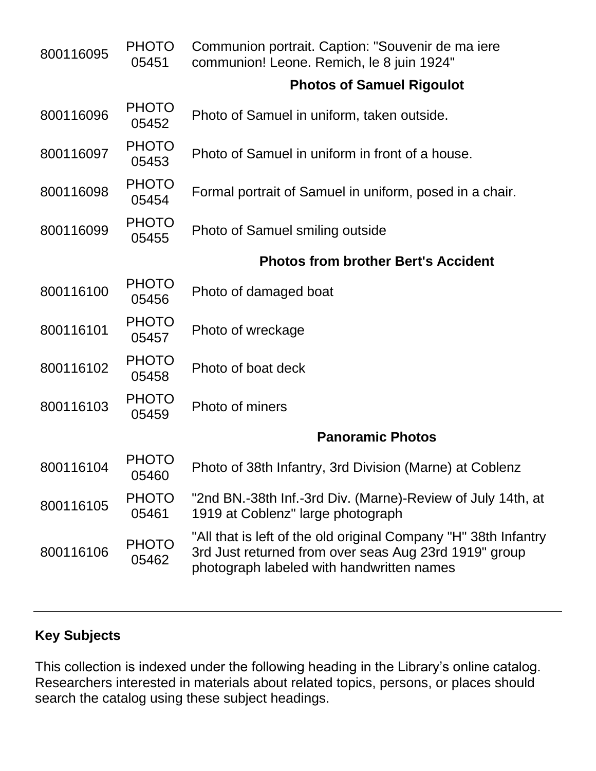| 800116095 | <b>PHOTO</b><br>05451 | Communion portrait. Caption: "Souvenir de ma iere<br>communion! Leone. Remich, le 8 juin 1924"                                                                        |
|-----------|-----------------------|-----------------------------------------------------------------------------------------------------------------------------------------------------------------------|
|           |                       | <b>Photos of Samuel Rigoulot</b>                                                                                                                                      |
| 800116096 | <b>PHOTO</b><br>05452 | Photo of Samuel in uniform, taken outside.                                                                                                                            |
| 800116097 | <b>PHOTO</b><br>05453 | Photo of Samuel in uniform in front of a house.                                                                                                                       |
| 800116098 | <b>PHOTO</b><br>05454 | Formal portrait of Samuel in uniform, posed in a chair.                                                                                                               |
| 800116099 | <b>PHOTO</b><br>05455 | Photo of Samuel smiling outside                                                                                                                                       |
|           |                       | <b>Photos from brother Bert's Accident</b>                                                                                                                            |
| 800116100 | <b>PHOTO</b><br>05456 | Photo of damaged boat                                                                                                                                                 |
| 800116101 | <b>PHOTO</b><br>05457 | Photo of wreckage                                                                                                                                                     |
| 800116102 | <b>PHOTO</b><br>05458 | Photo of boat deck                                                                                                                                                    |
| 800116103 | <b>PHOTO</b><br>05459 | Photo of miners                                                                                                                                                       |
|           |                       | <b>Panoramic Photos</b>                                                                                                                                               |
| 800116104 | <b>PHOTO</b><br>05460 | Photo of 38th Infantry, 3rd Division (Marne) at Coblenz                                                                                                               |
| 800116105 | <b>PHOTO</b><br>05461 | "2nd BN.-38th Inf.-3rd Div. (Marne)-Review of July 14th, at<br>1919 at Coblenz" large photograph                                                                      |
| 800116106 | <b>PHOTO</b><br>05462 | "All that is left of the old original Company "H" 38th Infantry<br>3rd Just returned from over seas Aug 23rd 1919" group<br>photograph labeled with handwritten names |

# **Key Subjects**

This collection is indexed under the following heading in the Library's online catalog. Researchers interested in materials about related topics, persons, or places should search the catalog using these subject headings.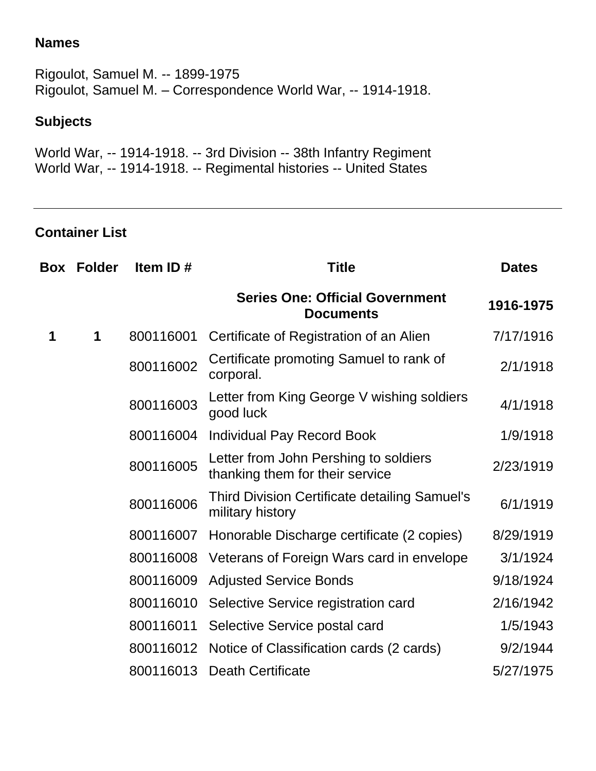#### **Names**

Rigoulot, Samuel M. -- 1899-1975 Rigoulot, Samuel M. – Correspondence World War, -- 1914-1918.

# **Subjects**

World War, -- 1914-1918. -- 3rd Division -- 38th Infantry Regiment World War, -- 1914-1918. -- Regimental histories -- United States

#### **Container List**

| Box | <b>Folder</b> | Item ID $#$ | <b>Title</b>                                                             | <b>Dates</b> |
|-----|---------------|-------------|--------------------------------------------------------------------------|--------------|
|     |               |             | <b>Series One: Official Government</b><br><b>Documents</b>               | 1916-1975    |
| 1   | 1             | 800116001   | Certificate of Registration of an Alien                                  | 7/17/1916    |
|     |               | 800116002   | Certificate promoting Samuel to rank of<br>corporal.                     | 2/1/1918     |
|     |               | 800116003   | Letter from King George V wishing soldiers<br>good luck                  | 4/1/1918     |
|     |               | 800116004   | Individual Pay Record Book                                               | 1/9/1918     |
|     |               | 800116005   | Letter from John Pershing to soldiers<br>thanking them for their service | 2/23/1919    |
|     |               | 800116006   | <b>Third Division Certificate detailing Samuel's</b><br>military history | 6/1/1919     |
|     |               | 800116007   | Honorable Discharge certificate (2 copies)                               | 8/29/1919    |
|     |               | 800116008   | Veterans of Foreign Wars card in envelope                                | 3/1/1924     |
|     |               | 800116009   | <b>Adjusted Service Bonds</b>                                            | 9/18/1924    |
|     |               | 800116010   | Selective Service registration card                                      | 2/16/1942    |
|     |               | 800116011   | Selective Service postal card                                            | 1/5/1943     |
|     |               | 800116012   | Notice of Classification cards (2 cards)                                 | 9/2/1944     |
|     |               | 800116013   | <b>Death Certificate</b>                                                 | 5/27/1975    |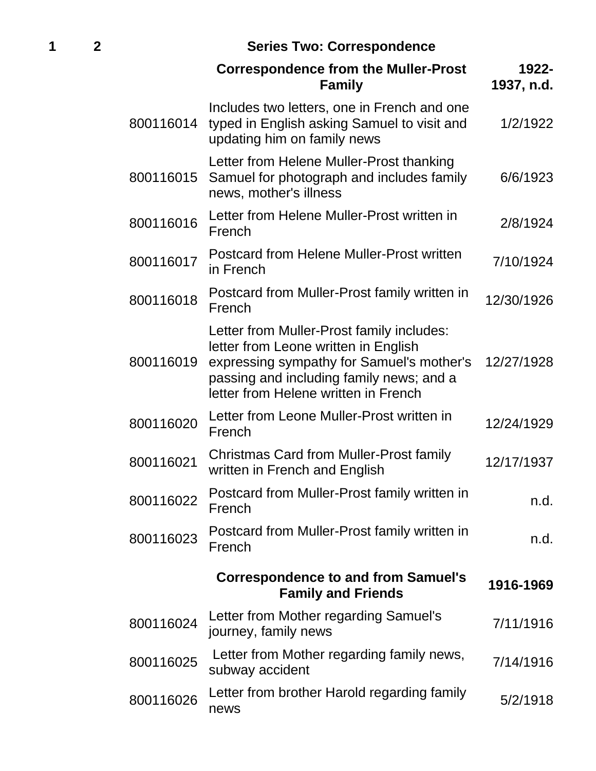# **1 2 Series Two: Correspondence**

|           | <b>Correspondence from the Muller-Prost</b><br><b>Family</b>                                                                                                                                                       | 1922-<br>1937, n.d. |
|-----------|--------------------------------------------------------------------------------------------------------------------------------------------------------------------------------------------------------------------|---------------------|
| 800116014 | Includes two letters, one in French and one<br>typed in English asking Samuel to visit and<br>updating him on family news                                                                                          | 1/2/1922            |
| 800116015 | Letter from Helene Muller-Prost thanking<br>Samuel for photograph and includes family<br>news, mother's illness                                                                                                    | 6/6/1923            |
| 800116016 | Letter from Helene Muller-Prost written in<br>French                                                                                                                                                               | 2/8/1924            |
| 800116017 | <b>Postcard from Helene Muller-Prost written</b><br>in French                                                                                                                                                      | 7/10/1924           |
| 800116018 | Postcard from Muller-Prost family written in<br>French                                                                                                                                                             | 12/30/1926          |
| 800116019 | Letter from Muller-Prost family includes:<br>letter from Leone written in English<br>expressing sympathy for Samuel's mother's<br>passing and including family news; and a<br>letter from Helene written in French | 12/27/1928          |
| 800116020 | Letter from Leone Muller-Prost written in<br>French                                                                                                                                                                | 12/24/1929          |
| 800116021 | <b>Christmas Card from Muller-Prost family</b><br>written in French and English                                                                                                                                    | 12/17/1937          |
| 800116022 | Postcard from Muller-Prost family written in<br>French                                                                                                                                                             | n.d.                |
| 800116023 | Postcard from Muller-Prost family written in<br>French                                                                                                                                                             | n.d.                |
|           | <b>Correspondence to and from Samuel's</b><br><b>Family and Friends</b>                                                                                                                                            | 1916-1969           |
| 800116024 | Letter from Mother regarding Samuel's<br>journey, family news                                                                                                                                                      | 7/11/1916           |
| 800116025 | Letter from Mother regarding family news,<br>subway accident                                                                                                                                                       | 7/14/1916           |
| 800116026 | Letter from brother Harold regarding family<br>news                                                                                                                                                                | 5/2/1918            |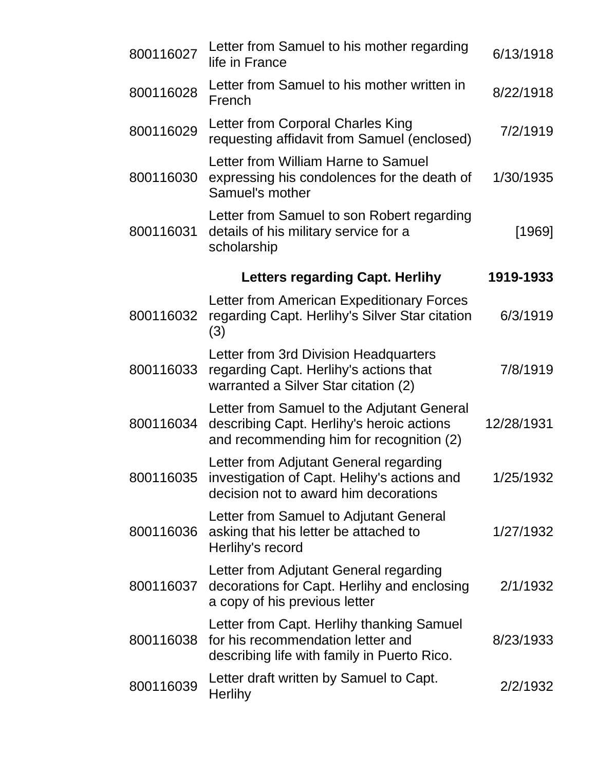| 800116027 | Letter from Samuel to his mother regarding<br>life in France                                                                        | 6/13/1918  |
|-----------|-------------------------------------------------------------------------------------------------------------------------------------|------------|
| 800116028 | Letter from Samuel to his mother written in<br>French                                                                               | 8/22/1918  |
| 800116029 | Letter from Corporal Charles King<br>requesting affidavit from Samuel (enclosed)                                                    | 7/2/1919   |
| 800116030 | Letter from William Harne to Samuel<br>expressing his condolences for the death of<br>Samuel's mother                               | 1/30/1935  |
| 800116031 | Letter from Samuel to son Robert regarding<br>details of his military service for a<br>scholarship                                  | [1969]     |
|           | <b>Letters regarding Capt. Herlihy</b>                                                                                              | 1919-1933  |
| 800116032 | Letter from American Expeditionary Forces<br>regarding Capt. Herlihy's Silver Star citation<br>(3)                                  | 6/3/1919   |
| 800116033 | Letter from 3rd Division Headquarters<br>regarding Capt. Herlihy's actions that<br>warranted a Silver Star citation (2)             | 7/8/1919   |
| 800116034 | Letter from Samuel to the Adjutant General<br>describing Capt. Herlihy's heroic actions<br>and recommending him for recognition (2) | 12/28/1931 |
| 800116035 | Letter from Adjutant General regarding<br>investigation of Capt. Helihy's actions and<br>decision not to award him decorations      | 1/25/1932  |
| 800116036 | Letter from Samuel to Adjutant General<br>asking that his letter be attached to<br>Herlihy's record                                 | 1/27/1932  |
| 800116037 | Letter from Adjutant General regarding<br>decorations for Capt. Herlihy and enclosing<br>a copy of his previous letter              | 2/1/1932   |
| 800116038 | Letter from Capt. Herlihy thanking Samuel<br>for his recommendation letter and<br>describing life with family in Puerto Rico.       | 8/23/1933  |
| 800116039 | Letter draft written by Samuel to Capt.<br><b>Herlihy</b>                                                                           | 2/2/1932   |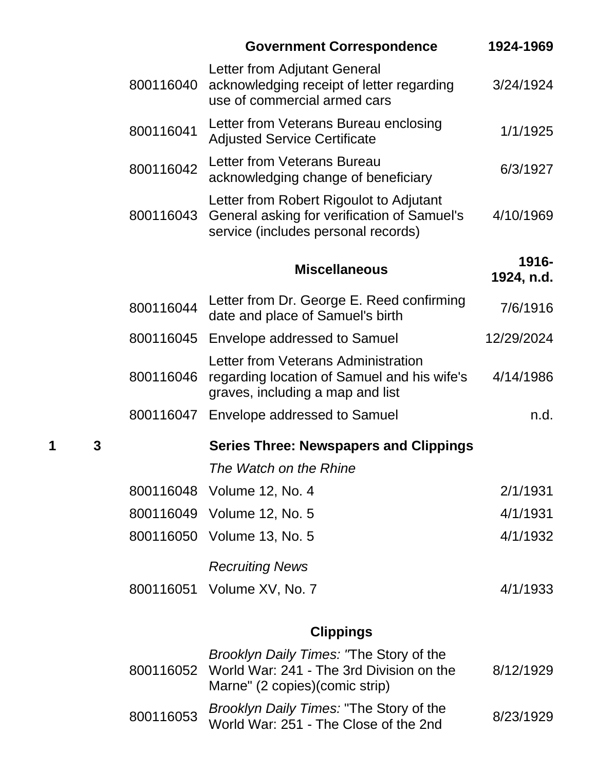|   |   |           | <b>Government Correspondence</b>                                                                                              | 1924-1969           |
|---|---|-----------|-------------------------------------------------------------------------------------------------------------------------------|---------------------|
|   |   | 800116040 | Letter from Adjutant General<br>acknowledging receipt of letter regarding<br>use of commercial armed cars                     | 3/24/1924           |
|   |   | 800116041 | Letter from Veterans Bureau enclosing<br><b>Adjusted Service Certificate</b>                                                  | 1/1/1925            |
|   |   | 800116042 | Letter from Veterans Bureau<br>acknowledging change of beneficiary                                                            | 6/3/1927            |
|   |   | 800116043 | Letter from Robert Rigoulot to Adjutant<br>General asking for verification of Samuel's<br>service (includes personal records) | 4/10/1969           |
|   |   |           | <b>Miscellaneous</b>                                                                                                          | 1916-<br>1924, n.d. |
|   |   | 800116044 | Letter from Dr. George E. Reed confirming<br>date and place of Samuel's birth                                                 | 7/6/1916            |
|   |   | 800116045 | Envelope addressed to Samuel                                                                                                  | 12/29/2024          |
|   |   | 800116046 | Letter from Veterans Administration<br>regarding location of Samuel and his wife's<br>graves, including a map and list        | 4/14/1986           |
|   |   | 800116047 | Envelope addressed to Samuel                                                                                                  | n.d.                |
| 1 | 3 |           | <b>Series Three: Newspapers and Clippings</b>                                                                                 |                     |
|   |   |           | The Watch on the Rhine                                                                                                        |                     |
|   |   |           | 800116048 Volume 12, No. 4                                                                                                    | 2/1/1931            |
|   |   |           | 800116049 Volume 12, No. 5                                                                                                    | 4/1/1931            |
|   |   | 800116050 | Volume 13, No. 5                                                                                                              | 4/1/1932            |
|   |   |           | <b>Recruiting News</b>                                                                                                        |                     |
|   |   |           | 800116051 Volume XV, No. 7                                                                                                    | 4/1/1933            |
|   |   |           |                                                                                                                               |                     |

# **Clippings**

|           | Brooklyn Daily Times: 'The Story of the<br>800116052 World War: 241 - The 3rd Division on the<br>Marne" (2 copies) (comic strip) | 8/12/1929 |
|-----------|----------------------------------------------------------------------------------------------------------------------------------|-----------|
| 800116053 | Brooklyn Daily Times: "The Story of the<br>World War: 251 - The Close of the 2nd                                                 | 8/23/1929 |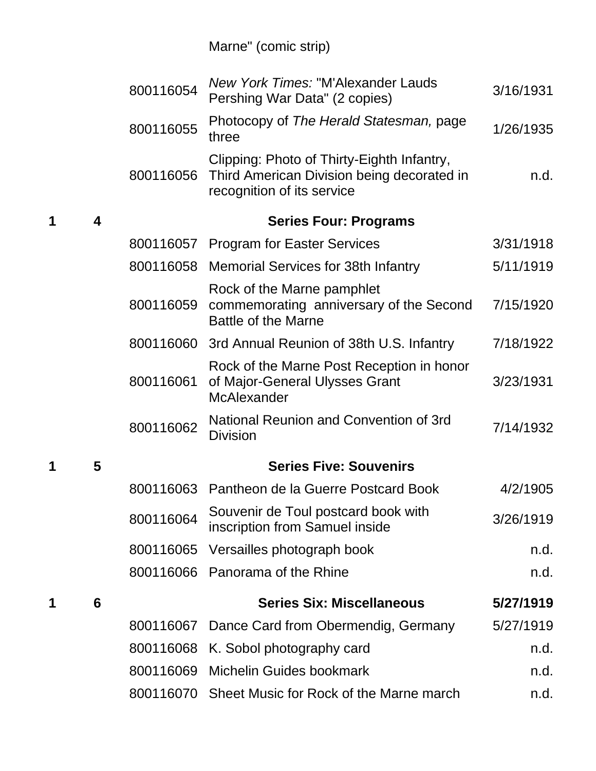|   |   | 800116054 | New York Times: "M'Alexander Lauds<br>Pershing War Data" (2 copies)                                                    | 3/16/1931 |
|---|---|-----------|------------------------------------------------------------------------------------------------------------------------|-----------|
|   |   | 800116055 | Photocopy of The Herald Statesman, page<br>three                                                                       | 1/26/1935 |
|   |   | 800116056 | Clipping: Photo of Thirty-Eighth Infantry,<br>Third American Division being decorated in<br>recognition of its service | n.d.      |
| 1 | 4 |           | <b>Series Four: Programs</b>                                                                                           |           |
|   |   |           | 800116057 Program for Easter Services                                                                                  | 3/31/1918 |
|   |   |           | 800116058 Memorial Services for 38th Infantry                                                                          | 5/11/1919 |
|   |   | 800116059 | Rock of the Marne pamphlet<br>commemorating anniversary of the Second<br><b>Battle of the Marne</b>                    | 7/15/1920 |
|   |   | 800116060 | 3rd Annual Reunion of 38th U.S. Infantry                                                                               | 7/18/1922 |
|   |   | 800116061 | Rock of the Marne Post Reception in honor<br>of Major-General Ulysses Grant<br>McAlexander                             | 3/23/1931 |
|   |   | 800116062 | National Reunion and Convention of 3rd<br><b>Division</b>                                                              | 7/14/1932 |
| 1 | 5 |           | <b>Series Five: Souvenirs</b>                                                                                          |           |
|   |   |           | 800116063 Pantheon de la Guerre Postcard Book                                                                          | 4/2/1905  |
|   |   | 800116064 | Souvenir de Toul postcard book with<br>inscription from Samuel inside                                                  | 3/26/1919 |
|   |   | 800116065 | Versailles photograph book                                                                                             | n.d.      |
|   |   | 800116066 | Panorama of the Rhine                                                                                                  | n.d.      |
| 1 | 6 |           | <b>Series Six: Miscellaneous</b>                                                                                       | 5/27/1919 |
|   |   | 800116067 | Dance Card from Obermendig, Germany                                                                                    | 5/27/1919 |
|   |   | 800116068 | K. Sobol photography card                                                                                              | n.d.      |
|   |   | 800116069 | <b>Michelin Guides bookmark</b>                                                                                        | n.d.      |
|   |   |           | 800116070 Sheet Music for Rock of the Marne march                                                                      | n.d.      |